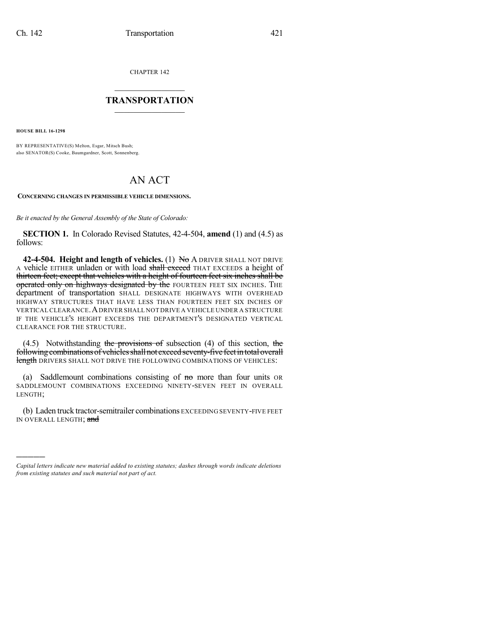CHAPTER 142

## $\overline{\phantom{a}}$  . The set of the set of the set of the set of the set of the set of the set of the set of the set of the set of the set of the set of the set of the set of the set of the set of the set of the set of the set o **TRANSPORTATION**  $\_$   $\_$   $\_$   $\_$   $\_$   $\_$   $\_$   $\_$   $\_$

**HOUSE BILL 16-1298**

)))))

BY REPRESENTATIVE(S) Melton, Esgar, Mitsch Bush; also SENATOR(S) Cooke, Baumgardner, Scott, Sonnenberg.

## AN ACT

**CONCERNING CHANGES IN PERMISSIBLE VEHICLE DIMENSIONS.**

*Be it enacted by the General Assembly of the State of Colorado:*

**SECTION 1.** In Colorado Revised Statutes, 42-4-504, **amend** (1) and (4.5) as follows:

**42-4-504. Height and length of vehicles.** (1) No A DRIVER SHALL NOT DRIVE A vehicle EITHER unladen or with load shall exceed THAT EXCEEDS a height of thirteen feet; except that vehicles with a height of fourteen feet six inches shall be operated only on highways designated by the FOURTEEN FEET SIX INCHES. THE department of transportation SHALL DESIGNATE HIGHWAYS WITH OVERHEAD HIGHWAY STRUCTURES THAT HAVE LESS THAN FOURTEEN FEET SIX INCHES OF VERTICAL CLEARANCE.ADRIVER SHALL NOT DRIVE A VEHICLE UNDER A STRUCTURE IF THE VEHICLE'S HEIGHT EXCEEDS THE DEPARTMENT'S DESIGNATED VERTICAL CLEARANCE FOR THE STRUCTURE.

 $(4.5)$  Notwithstanding the provisions of subsection  $(4)$  of this section, the following combinations of vehicles shall not exceed seventy-five feet in total overall length DRIVERS SHALL NOT DRIVE THE FOLLOWING COMBINATIONS OF VEHICLES:

(a) Saddlemount combinations consisting of  $m$  more than four units OR SADDLEMOUNT COMBINATIONS EXCEEDING NINETY-SEVEN FEET IN OVERALL LENGTH;

(b) Laden truck tractor-semitrailer combinations EXCEEDING SEVENTY-FIVE FEET IN OVERALL LENGTH; and

*Capital letters indicate new material added to existing statutes; dashes through words indicate deletions from existing statutes and such material not part of act.*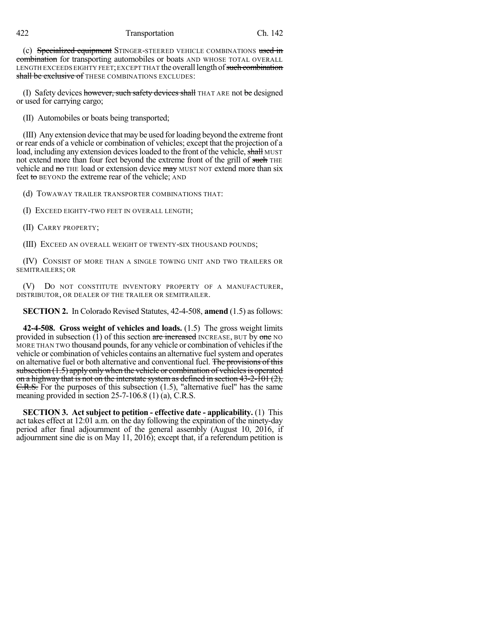## 422 Transportation Ch. 142

(c) Specialized equipment STINGER-STEERED VEHICLE COMBINATIONS used in combination for transporting automobiles or boats AND WHOSE TOTAL OVERALL LENGTH EXCEEDS EIGHTY FEET; EXCEPT THAT the overall length of such combination shall be exclusive of THESE COMBINATIONS EXCLUDES:

(I) Safety devices however, such safety devices shall THAT ARE not be designed or used for carrying cargo;

(II) Automobiles or boats being transported;

(III) Any extension device that may be used forloading beyond the extreme front or rear ends of a vehicle or combination of vehicles; except that the projection of a load, including any extension devices loaded to the front of the vehicle, shall MUST not extend more than four feet beyond the extreme front of the grill of such THE vehicle and no THE load or extension device may MUST NOT extend more than six feet to BEYOND the extreme rear of the vehicle; AND

(d) TOWAWAY TRAILER TRANSPORTER COMBINATIONS THAT:

(I) EXCEED EIGHTY-TWO FEET IN OVERALL LENGTH;

(II) CARRY PROPERTY;

(III) EXCEED AN OVERALL WEIGHT OF TWENTY-SIX THOUSAND POUNDS;

(IV) CONSIST OF MORE THAN A SINGLE TOWING UNIT AND TWO TRAILERS OR SEMITRAILERS; OR

(V) DO NOT CONSTITUTE INVENTORY PROPERTY OF A MANUFACTURER, DISTRIBUTOR, OR DEALER OF THE TRAILER OR SEMITRAILER.

**SECTION 2.** In Colorado Revised Statutes, 42-4-508, **amend** (1.5) as follows:

**42-4-508. Gross weight of vehicles and loads.** (1.5) The gross weight limits provided in subsection (1) of this section are increased INCREASE, BUT by one NO MORE THAN TWO thousand pounds, for any vehicle or combination of vehicles if the vehicle or combination of vehicles contains an alternative fuelsystemand operates on alternative fuel or both alternative and conventional fuel. The provisions of this subsection  $(1.5)$  apply only when the vehicle or combination of vehicles is operated on a highway that is not on the interstate system as defined in section 43-2-101 (2), C.R.S. For the purposes of this subsection (1.5), "alternative fuel" has the same meaning provided in section 25-7-106.8 (1) (a), C.R.S.

**SECTION 3. Act subject to petition - effective date - applicability.** (1) This act takes effect at 12:01 a.m. on the day following the expiration of the ninety-day period after final adjournment of the general assembly (August 10, 2016, if adjournment sine die is on May 11, 2016); except that, if a referendum petition is